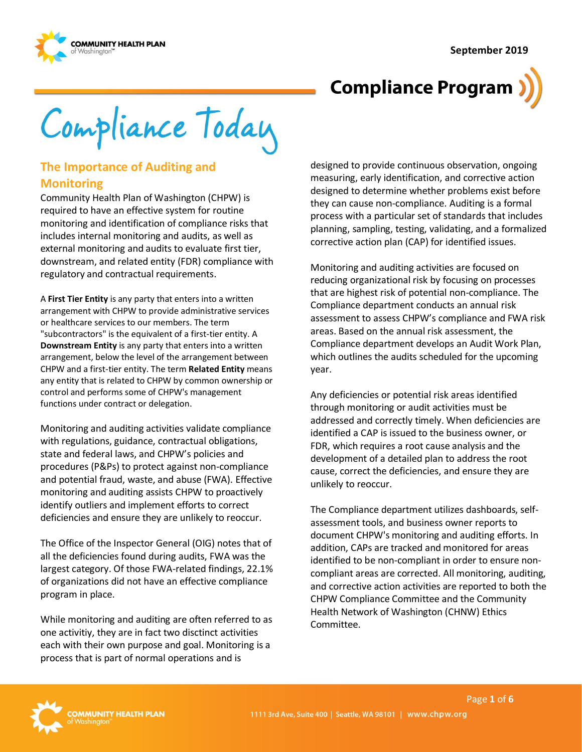

Compliance Today

## **The Importance of Auditing and Monitoring**

Community Health Plan of Washington (CHPW) is required to have an effective system for routine monitoring and identification of compliance risks that includes internal monitoring and audits, as well as external monitoring and audits to evaluate first tier, downstream, and related entity (FDR) compliance with regulatory and contractual requirements.

A **First Tier Entity** is any party that enters into a written arrangement with CHPW to provide administrative services or healthcare services to our members. The term "subcontractors" is the equivalent of a first-tier entity. A **Downstream Entity** is any party that enters into a written arrangement, below the level of the arrangement between CHPW and a first-tier entity. The term **Related Entity** means any entity that is related to CHPW by common ownership or control and performs some of CHPW's management functions under contract or delegation.

Monitoring and auditing activities validate compliance with regulations, guidance, contractual obligations, state and federal laws, and CHPW's policies and procedures (P&Ps) to protect against non-compliance and potential fraud, waste, and abuse (FWA). Effective monitoring and auditing assists CHPW to proactively identify outliers and implement efforts to correct deficiencies and ensure they are unlikely to reoccur.

The Office of the Inspector General (OIG) notes that of all the deficiencies found during audits, FWA was the largest category. Of those FWA-related findings, 22.1% of organizations did not have an effective compliance program in place.

While monitoring and auditing are often referred to as one activitiy, they are in fact two disctinct activities each with their own purpose and goal. Monitoring is a process that is part of normal operations and is

designed to provide continuous observation, ongoing measuring, early identification, and corrective action designed to determine whether problems exist before they can cause non-compliance. Auditing is a formal process with a particular set of standards that includes planning, sampling, testing, validating, and a formalized corrective action plan (CAP) for identified issues.

Monitoring and auditing activities are focused on reducing organizational risk by focusing on processes that are highest risk of potential non-compliance. The Compliance department conducts an annual risk assessment to assess CHPW's compliance and FWA risk areas. Based on the annual risk assessment, the Compliance department develops an Audit Work Plan, which outlines the audits scheduled for the upcoming year.

Any deficiencies or potential risk areas identified through monitoring or audit activities must be addressed and correctly timely. When deficiencies are identified a CAP is issued to the business owner, or FDR, which requires a root cause analysis and the development of a detailed plan to address the root cause, correct the deficiencies, and ensure they are unlikely to reoccur.

The Compliance department utilizes dashboards, selfassessment tools, and business owner reports to document CHPW's monitoring and auditing efforts. In addition, CAPs are tracked and monitored for areas identified to be non-compliant in order to ensure noncompliant areas are corrected. All monitoring, auditing, and corrective action activities are reported to both the CHPW Compliance Committee and the Community Health Network of Washington (CHNW) Ethics Committee.

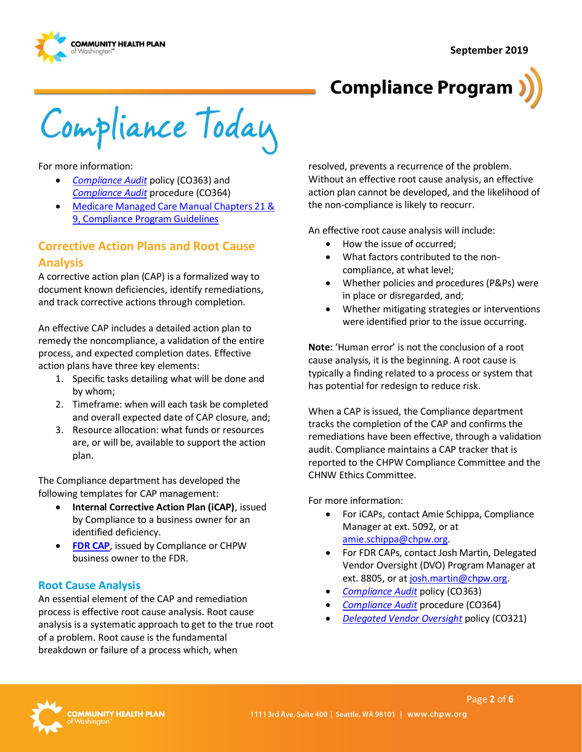



Compliance Today

For more information:

- *[Compliance Audit](http://chpsp/PP/Compliance/Compliance%20Audit%20Policy%20-%20CO363.pdf)* policy (CO363) and *[Compliance Audit](http://chpsp/PP/Compliance/Compliance%20Audit%20Procedure%20-%20CO364.pdf)* procedure (CO364)
- [Medicare Managed Care Manual Chapters 21 &](https://www.cms.gov/Regulations-and-Guidance/Guidance/Manuals/Downloads/mc86c21.pdf)  [9, Compliance Program Guidelines](https://www.cms.gov/Regulations-and-Guidance/Guidance/Manuals/Downloads/mc86c21.pdf)

## **Corrective Action Plans and Root Cause Analysis**

A corrective action plan (CAP) is a formalized way to document known deficiencies, identify remediations, and track corrective actions through completion.

An effective CAP includes a detailed action plan to remedy the noncompliance, a validation of the entire process, and expected completion dates. Effective action plans have three key elements:

- 1. Specific tasks detailing what will be done and by whom;
- 2. Timeframe: when will each task be completed and overall expected date of CAP closure, and;
- 3. Resource allocation: what funds or resources are, or will be, available to support the action plan.

The Compliance department has developed the following templates for CAP management:

- **Internal Corrective Action Plan (iCAP)**, issued by Compliance to a business owner for an identified deficiency.
- **[FDR CAP](https://inside.chpw.org/departments/compliance/dvo_toolkit/fdr_cap_template_finaldocx)**, issued by Compliance or CHPW business owner to the FDR.

#### **Root Cause Analysis**

An essential element of the CAP and remediation process is effective root cause analysis. Root cause analysis is a systematic approach to get to the true root of a problem. Root cause is the fundamental breakdown or failure of a process which, when

resolved, prevents a recurrence of the problem. Without an effective root cause analysis, an effective action plan cannot be developed, and the likelihood of the non-compliance is likely to reocurr.

An effective root cause analysis will include:

- How the issue of occurred;
- What factors contributed to the noncompliance, at what level;
- Whether policies and procedures (P&Ps) were in place or disregarded, and;
- Whether mitigating strategies or interventions were identified prior to the issue occurring.

**Note:** 'Human error' is not the conclusion of a root cause analysis, it is the beginning. A root cause is typically a finding related to a process or system that has potential for redesign to reduce risk.

When a CAP is issued, the Compliance department tracks the completion of the CAP and confirms the remediations have been effective, through a validation audit. Compliance maintains a CAP tracker that is reported to the CHPW Compliance Committee and the CHNW Ethics Committee.

For more information:

- For iCAPs, contact Amie Schippa, Compliance Manager at ext. 5092, or at [amie.schippa@chpw.org.](mailto:amie.schippa@chpw.org)
- For FDR CAPs, contact Josh Martin, Delegated Vendor Oversight (DVO) Program Manager at ext. 8805, or a[t josh.martin@chpw.org.](mailto:josh.martin@chpw.org)
- *[Compliance Audit](http://chpsp/PP/Compliance/Compliance%20Audit%20Policy%20-%20CO363.pdf)* policy (CO363)
- *[Compliance Audit](http://chpsp/PP/Compliance/Compliance%20Audit%20Procedure%20-%20CO364.pdf)* procedure (CO364)
- *[Delegated Vendor Oversight](http://chpsp/PP/Compliance/Delegated%20Vendor%20Oversight%20Policy%20-%20CO321.pdf)* policy (CO321)

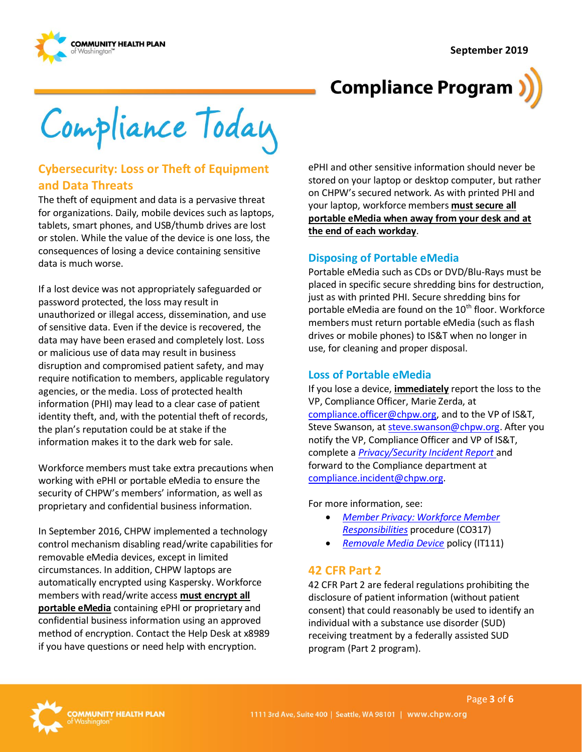

Compliance Today

## **Cybersecurity: Loss or Theft of Equipment and Data Threats**

The theft of equipment and data is a pervasive threat for organizations. Daily, mobile devices such as laptops, tablets, smart phones, and USB/thumb drives are lost or stolen. While the value of the device is one loss, the consequences of losing a device containing sensitive data is much worse.

If a lost device was not appropriately safeguarded or password protected, the loss may result in unauthorized or illegal access, dissemination, and use of sensitive data. Even if the device is recovered, the data may have been erased and completely lost. Loss or malicious use of data may result in business disruption and compromised patient safety, and may require notification to members, applicable regulatory agencies, or the media. Loss of protected health information (PHI) may lead to a clear case of patient identity theft, and, with the potential theft of records, the plan's reputation could be at stake if the information makes it to the dark web for sale.

Workforce members must take extra precautions when working with ePHI or portable eMedia to ensure the security of CHPW's members' information, as well as proprietary and confidential business information.

In September 2016, CHPW implemented a technology control mechanism disabling read/write capabilities for removable eMedia devices, except in limited circumstances. In addition, CHPW laptops are automatically encrypted using Kaspersky. Workforce members with read/write access **must encrypt all portable eMedia** containing ePHI or proprietary and confidential business information using an approved method of encryption. Contact the Help Desk at x8989 if you have questions or need help with encryption.

ePHI and other sensitive information should never be stored on your laptop or desktop computer, but rather on CHPW's secured network. As with printed PHI and your laptop, workforce members **must secure all portable eMedia when away from your desk and at the end of each workday**.

#### **Disposing of Portable eMedia**

Portable eMedia such as CDs or DVD/Blu-Rays must be placed in specific secure shredding bins for destruction, just as with printed PHI. Secure shredding bins for portable eMedia are found on the  $10<sup>th</sup>$  floor. Workforce members must return portable eMedia (such as flash drives or mobile phones) to IS&T when no longer in use, for cleaning and proper disposal.

### **Loss of Portable eMedia**

If you lose a device, **immediately** report the loss to the VP, Compliance Officer, Marie Zerda, at [compliance.officer@chpw.org,](mailto:compliance.officer@chpw.org) and to the VP of IS&T, Steve Swanson, a[t steve.swanson@chpw.org.](mailto:steve.swanson@chpw.org) After you notify the VP, Compliance Officer and VP of IS&T, complete a *[Privacy/Security Incident Report](https://inside.chpw.org/departments/compliance/documents/privacysecurity__fwa_report_forms)* and forward to the Compliance department at [compliance.incident@chpw.org.](mailto:compliance.incident@chpw.org)

For more information, see:

- *[Member Privacy: Workforce Member](http://chpsp/PP/Compliance/Information%20Privacy%20Workforce%20Member%20Responsibilities%20Procedure%20-%20CO317.pdf)  [Responsibilities](http://chpsp/PP/Compliance/Information%20Privacy%20Workforce%20Member%20Responsibilities%20Procedure%20-%20CO317.pdf)* procedure (CO317)
- *[Removale Media Device](http://chpsp/PP/IST/Removable%20Media%20Device%20Policy%20-%20IT111.pdf)* policy (IT111)

## **42 CFR Part 2**

42 CFR Part 2 are federal regulations prohibiting the disclosure of patient information (without patient consent) that could reasonably be used to identify an individual with a substance use disorder (SUD) receiving treatment by a federally assisted SUD program (Part 2 program).

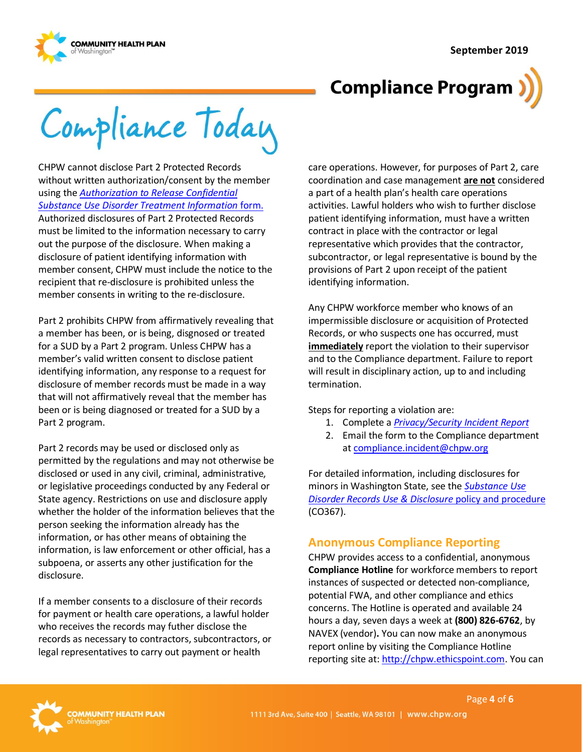

Compliance Today

CHPW cannot disclose Part 2 Protected Records without written authorization/consent by the member using the *[Authorization to Release Confidential](https://inside.chpw.org/departments/compliance/documents/hipaasud_release_forms)  [Substance Use Disorder Treatment Information](https://inside.chpw.org/departments/compliance/documents/hipaasud_release_forms)* form. Authorized disclosures of Part 2 Protected Records must be limited to the information necessary to carry out the purpose of the disclosure. When making a disclosure of patient identifying information with member consent, CHPW must include the notice to the recipient that re-disclosure is prohibited unless the member consents in writing to the re-disclosure.

Part 2 prohibits CHPW from affirmatively revealing that a member has been, or is being, disgnosed or treated for a SUD by a Part 2 program. Unless CHPW has a member's valid written consent to disclose patient identifying information, any response to a request for disclosure of member records must be made in a way that will not affirmatively reveal that the member has been or is being diagnosed or treated for a SUD by a Part 2 program.

Part 2 records may be used or disclosed only as permitted by the regulations and may not otherwise be disclosed or used in any civil, criminal, administrative, or legislative proceedings conducted by any Federal or State agency. Restrictions on use and disclosure apply whether the holder of the information believes that the person seeking the information already has the information, or has other means of obtaining the information, is law enforcement or other official, has a subpoena, or asserts any other justification for the disclosure.

If a member consents to a disclosure of their records for payment or health care operations, a lawful holder who receives the records may futher disclose the records as necessary to contractors, subcontractors, or legal representatives to carry out payment or health

care operations. However, for purposes of Part 2, care coordination and case management **are not** considered a part of a health plan's health care operations activities. Lawful holders who wish to further disclose patient identifying information, must have a written contract in place with the contractor or legal representative which provides that the contractor, subcontractor, or legal representative is bound by the provisions of Part 2 upon receipt of the patient identifying information.

Any CHPW workforce member who knows of an impermissible disclosure or acquisition of Protected Records, or who suspects one has occurred, must **immediately** report the violation to their supervisor and to the Compliance department. Failure to report will result in disciplinary action, up to and including termination.

Steps for reporting a violation are:

- 1. Complete a *[Privacy/Security Incident Report](https://inside.chpw.org/departments/compliance/documents/privacysecurity__fwa_report_forms)*
- 2. Email the form to the Compliance department at [compliance.incident@chpw.org](mailto:compliance.incident@chpw.org)

For detailed information, including disclosures for minors in Washington State, see the *[Substance Use](http://chpsp/PP/Compliance/Substance%20Use%20Disorder%20Records%20Use%20and%20Disclosure%20Policy%20and%20Procedure%20-%20CO367.pdf)  [Disorder Records Use & Disclosure](http://chpsp/PP/Compliance/Substance%20Use%20Disorder%20Records%20Use%20and%20Disclosure%20Policy%20and%20Procedure%20-%20CO367.pdf)* policy and procedure (CO367).

## **Anonymous Compliance Reporting**

CHPW provides access to a confidential, anonymous **Compliance Hotline** for workforce members to report instances of suspected or detected non-compliance, potential FWA, and other compliance and ethics concerns. The Hotline is operated and available 24 hours a day, seven days a week at **(800) 826-6762**, by NAVEX (vendor)**.** You can now make an anonymous report online by visiting the Compliance Hotline reporting site at[: http://chpw.ethicspoint.com.](http://chpw.ethicspoint.com/) You can

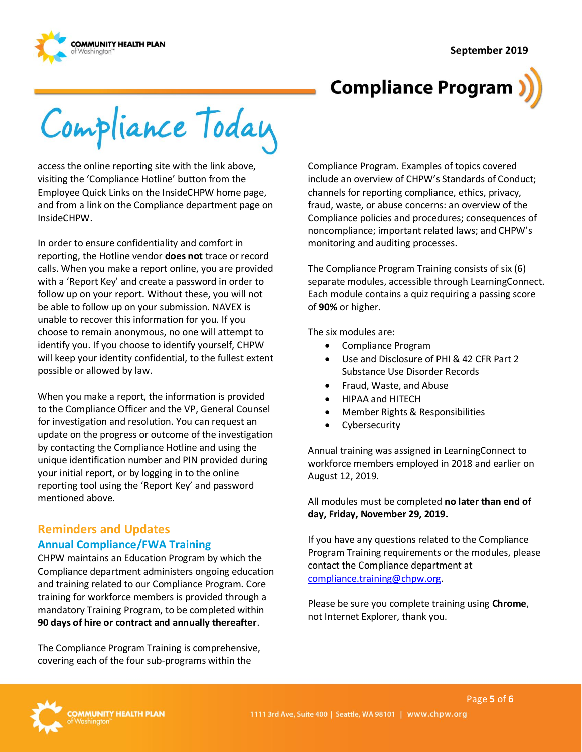

Compliance Today

access the online reporting site with the link above, visiting the 'Compliance Hotline' button from the Employee Quick Links on the InsideCHPW home page, and from a link on the Compliance department page on InsideCHPW.

In order to ensure confidentiality and comfort in reporting, the Hotline vendor **does not** trace or record calls. When you make a report online, you are provided with a 'Report Key' and create a password in order to follow up on your report. Without these, you will not be able to follow up on your submission. NAVEX is unable to recover this information for you. If you choose to remain anonymous, no one will attempt to identify you. If you choose to identify yourself, CHPW will keep your identity confidential, to the fullest extent possible or allowed by law.

When you make a report, the information is provided to the Compliance Officer and the VP, General Counsel for investigation and resolution. You can request an update on the progress or outcome of the investigation by contacting the Compliance Hotline and using the unique identification number and PIN provided during your initial report, or by logging in to the online reporting tool using the 'Report Key' and password mentioned above.

### **Reminders and Updates Annual Compliance/FWA Training**

CHPW maintains an Education Program by which the Compliance department administers ongoing education and training related to our Compliance Program. Core training for workforce members is provided through a mandatory Training Program, to be completed within **90 days of hire or contract and annually thereafter**.

The Compliance Program Training is comprehensive, covering each of the four sub-programs within the

Compliance Program. Examples of topics covered include an overview of CHPW's Standards of Conduct; channels for reporting compliance, ethics, privacy, fraud, waste, or abuse concerns: an overview of the Compliance policies and procedures; consequences of noncompliance; important related laws; and CHPW's monitoring and auditing processes.

The Compliance Program Training consists of six (6) separate modules, accessible through LearningConnect. Each module contains a quiz requiring a passing score of **90%** or higher.

The six modules are:

- Compliance Program
- Use and Disclosure of PHI & 42 CFR Part 2 Substance Use Disorder Records
- Fraud, Waste, and Abuse
- HIPAA and HITECH
- Member Rights & Responsibilities
- Cybersecurity

Annual training was assigned in LearningConnect to workforce members employed in 2018 and earlier on August 12, 2019.

All modules must be completed **no later than end of day, Friday, November 29, 2019.**

If you have any questions related to the Compliance Program Training requirements or the modules, please contact the Compliance department at [compliance.training@chpw.org.](mailto:compliance.training@chpw.org)

Please be sure you complete training using **Chrome**, not Internet Explorer, thank you.